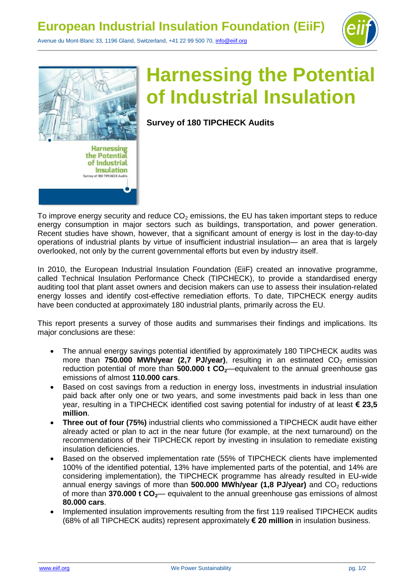

Avenue du Mont-Blanc 33, 1196 Gland, Switzerland, +41 22 99 500 70, [info@eiif.org](mailto:info@eiif.org)



## **Harnessing the Potential of Industrial Insulation**

**Survey of 180 TIPCHECK Audits**

To improve energy security and reduce  $CO<sub>2</sub>$  emissions, the EU has taken important steps to reduce energy consumption in major sectors such as buildings, transportation, and power generation. Recent studies have shown, however, that a significant amount of energy is lost in the day-to-day operations of industrial plants by virtue of insufficient industrial insulation— an area that is largely overlooked, not only by the current governmental efforts but even by industry itself.

In 2010, the European Industrial Insulation Foundation (EiiF) created an innovative programme, called Technical Insulation Performance Check (TIPCHECK), to provide a standardised energy auditing tool that plant asset owners and decision makers can use to assess their insulation-related energy losses and identify cost-effective remediation efforts. To date, TIPCHECK energy audits have been conducted at approximately 180 industrial plants, primarily across the EU.

This report presents a survey of those audits and summarises their findings and implications. Its major conclusions are these:

- The annual energy savings potential identified by approximately 180 TIPCHECK audits was more than **750.000 MWh/year (2,7 PJ/year)**, resulting in an estimated CO<sub>2</sub> emission reduction potential of more than **500.000 t CO**<sub>2</sub>—equivalent to the annual greenhouse gas emissions of almost **110.000 cars**.
- Based on cost savings from a reduction in energy loss, investments in industrial insulation paid back after only one or two years, and some investments paid back in less than one year, resulting in a TIPCHECK identified cost saving potential for industry of at least **€ 23,5 million**.
- **Three out of four (75%)** industrial clients who commissioned a TIPCHECK audit have either already acted or plan to act in the near future (for example, at the next turnaround) on the recommendations of their TIPCHECK report by investing in insulation to remediate existing insulation deficiencies.
- Based on the observed implementation rate (55% of TIPCHECK clients have implemented 100% of the identified potential, 13% have implemented parts of the potential, and 14% are considering implementation), the TIPCHECK programme has already resulted in EU-wide annual energy savings of more than 500.000 MWh/year (1,8 PJ/year) and CO<sub>2</sub> reductions of more than **370.000 t CO2**— equivalent to the annual greenhouse gas emissions of almost **80.000 cars**.
- Implemented insulation improvements resulting from the first 119 realised TIPCHECK audits (68% of all TIPCHECK audits) represent approximately **€ 20 million** in insulation business.